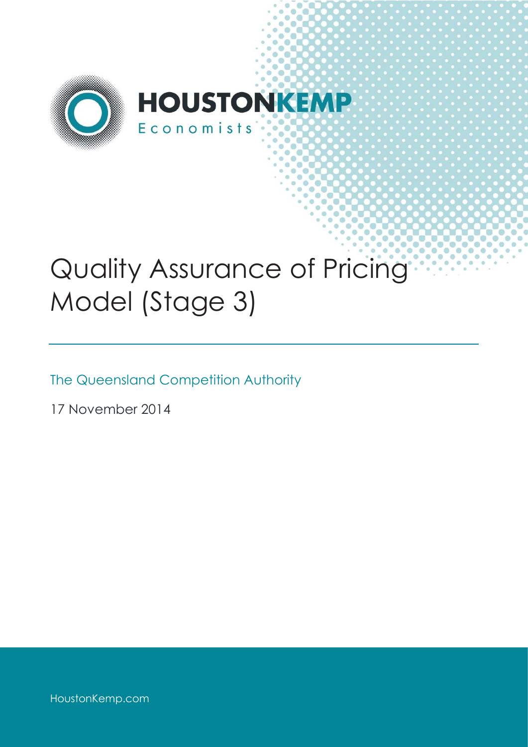

# Quality Assurance of Pricing Model (Stage 3)

The Queensland Competition Authority

17 November 2014

HoustonKemp.com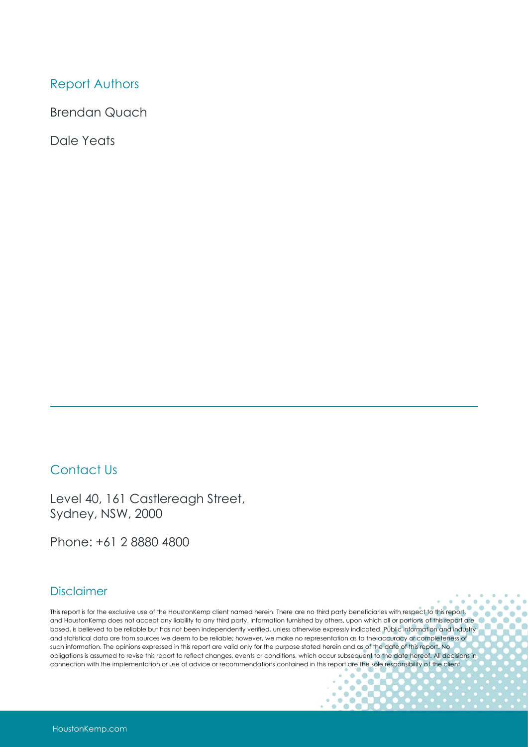### Report Authors

Brendan Quach

Dale Yeats

#### Contact Us

Level 40, 161 Castlereagh Street, Sydney, NSW, 2000

Phone: +61 2 8880 4800

#### **Disclaimer**

This report is for the exclusive use of the HoustonKemp client named herein. There are no third party beneficiaries with respect to this report, and HoustonKemp does not accept any liability to any third party. Information furnished by others, upon which all or portions of this report are based, is believed to be reliable but has not been independently verified, unless otherwise expressly indicated. Public information and industry and statistical data are from sources we deem to be reliable; however, we make no representation as to the accuracy or completeness of such information. The opinions expressed in this report are valid only for the purpose stated herein and as of the date of this report. No obligations is assumed to revise this report to reflect changes, events or conditions, which occur subsequent to the date hereof. All decisions in connection with the implementation or use of advice or recommendations contained in this report are the sole responsibility of the client.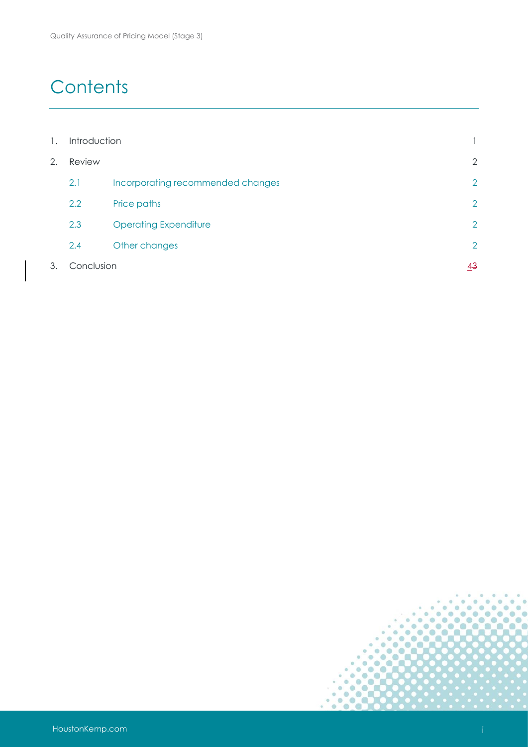### **Contents**

| 1. | Introduction |                                   |                |
|----|--------------|-----------------------------------|----------------|
| 2. | Review       |                                   | 2              |
|    | 2.1          | Incorporating recommended changes | $\overline{2}$ |
|    | 2.2          | Price paths                       | $\overline{2}$ |
|    | 2.3          | <b>Operating Expenditure</b>      | 2              |
|    | 2.4          | Other changes                     | $\overline{2}$ |
| 3. | Conclusion   |                                   | 43             |

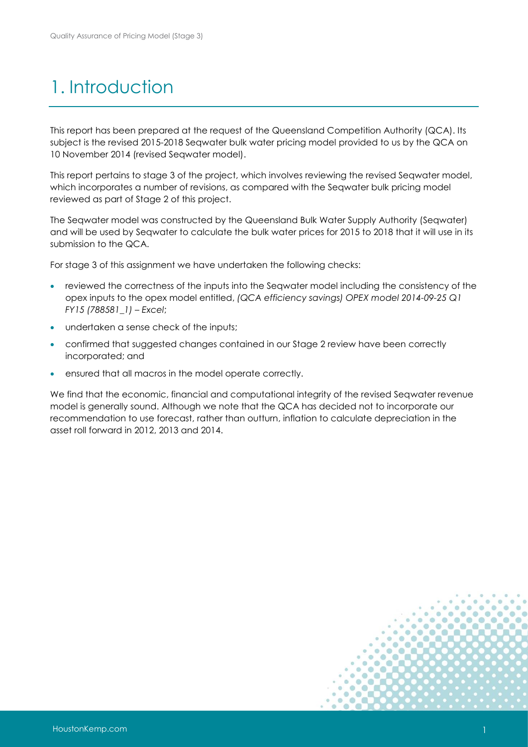# <span id="page-3-0"></span>1. Introduction

This report has been prepared at the request of the Queensland Competition Authority (QCA). Its subject is the revised 2015-2018 Seqwater bulk water pricing model provided to us by the QCA on 10 November 2014 (revised Seqwater model).

This report pertains to stage 3 of the project, which involves reviewing the revised Seqwater model, which incorporates a number of revisions, as compared with the Seqwater bulk pricing model reviewed as part of Stage 2 of this project.

The Seqwater model was constructed by the Queensland Bulk Water Supply Authority (Seqwater) and will be used by Seqwater to calculate the bulk water prices for 2015 to 2018 that it will use in its submission to the QCA.

For stage 3 of this assignment we have undertaken the following checks:

- reviewed the correctness of the inputs into the Seqwater model including the consistency of the opex inputs to the opex model entitled, *(QCA efficiency savings) OPEX model 2014-09-25 Q1 FY15 (788581\_1) – Excel*;
- undertaken a sense check of the inputs:
- confirmed that suggested changes contained in our Stage 2 review have been correctly incorporated; and
- ensured that all macros in the model operate correctly.

We find that the economic, financial and computational integrity of the revised Seqwater revenue model is generally sound. Although we note that the QCA has decided not to incorporate our recommendation to use forecast, rather than outturn, inflation to calculate depreciation in the asset roll forward in 2012, 2013 and 2014.

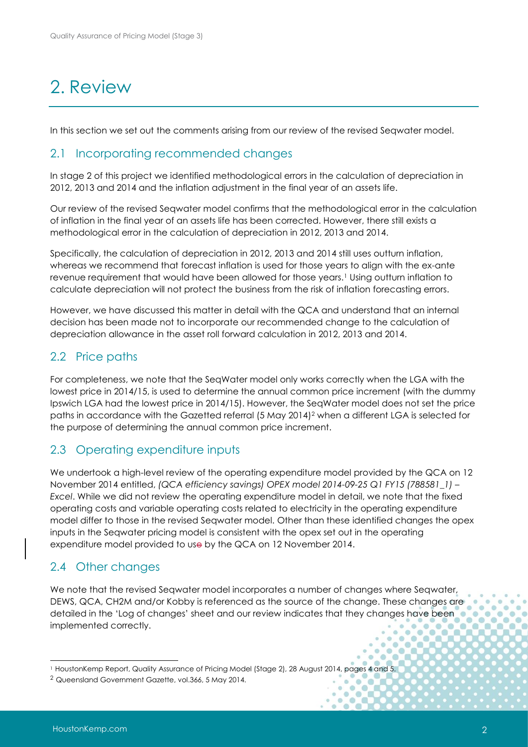# <span id="page-4-0"></span>2. Review

In this section we set out the comments arising from our review of the revised Seqwater model.

#### <span id="page-4-1"></span>2.1 Incorporating recommended changes

In stage 2 of this project we identified methodological errors in the calculation of depreciation in 2012, 2013 and 2014 and the inflation adjustment in the final year of an assets life.

Our review of the revised Seqwater model confirms that the methodological error in the calculation of inflation in the final year of an assets life has been corrected. However, there still exists a methodological error in the calculation of depreciation in 2012, 2013 and 2014.

Specifically, the calculation of depreciation in 2012, 2013 and 2014 still uses outturn inflation, whereas we recommend that forecast inflation is used for those years to align with the ex-ante revenue requirement that would have been allowed for those years.<sup>1</sup> Using outturn inflation to calculate depreciation will not protect the business from the risk of inflation forecasting errors.

However, we have discussed this matter in detail with the QCA and understand that an internal decision has been made not to incorporate our recommended change to the calculation of depreciation allowance in the asset roll forward calculation in 2012, 2013 and 2014.

### <span id="page-4-2"></span>2.2 Price paths

For completeness, we note that the SeqWater model only works correctly when the LGA with the lowest price in 2014/15, is used to determine the annual common price increment (with the dummy Ipswich LGA had the lowest price in 2014/15). However, the SeqWater model does not set the price paths in accordance with the Gazetted referral (5 May 2014)<sup>2</sup> when a different LGA is selected for the purpose of determining the annual common price increment.

### <span id="page-4-3"></span>2.3 Operating expenditure inputs

We undertook a high-level review of the operating expenditure model provided by the QCA on 12 November 2014 entitled, *(QCA efficiency savings) OPEX model 2014-09-25 Q1 FY15 (788581\_1) – Excel*. While we did not review the operating expenditure model in detail, we note that the fixed operating costs and variable operating costs related to electricity in the operating expenditure model differ to those in the revised Seqwater model. Other than these identified changes the opex inputs in the Seqwater pricing model is consistent with the opex set out in the operating expenditure model provided to use by the QCA on 12 November 2014.

### <span id="page-4-4"></span>2.4 Other changes

We note that the revised Seqwater model incorporates a number of changes where Seqwater, DEWS, QCA, CH2M and/or Kobby is referenced as the source of the change. These changes are detailed in the 'Log of changes' sheet and our review indicates that they changes have been implemented correctly.

 $\overline{a}$ 

<sup>1</sup> HoustonKemp Report, Quality Assurance of Pricing Model (Stage 2), 28 August 2014, pages 4 and 5.

<sup>2</sup> Queensland Government Gazette, vol.366, 5 May 2014.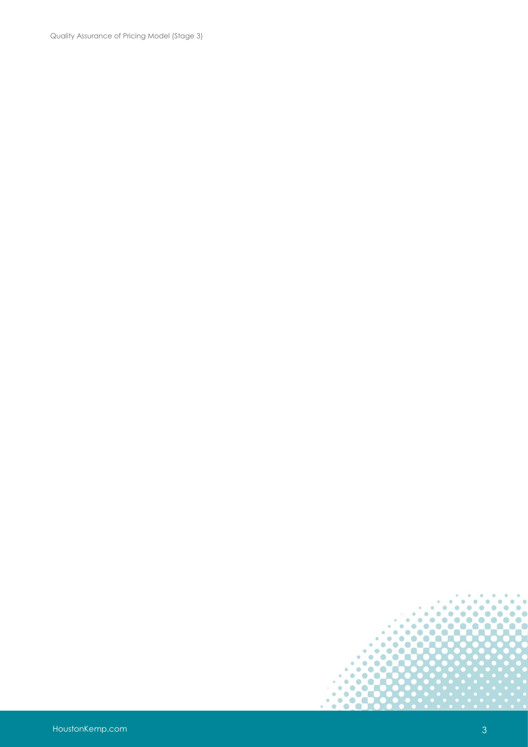Quality Assurance of Pricing Model (Stage 3)

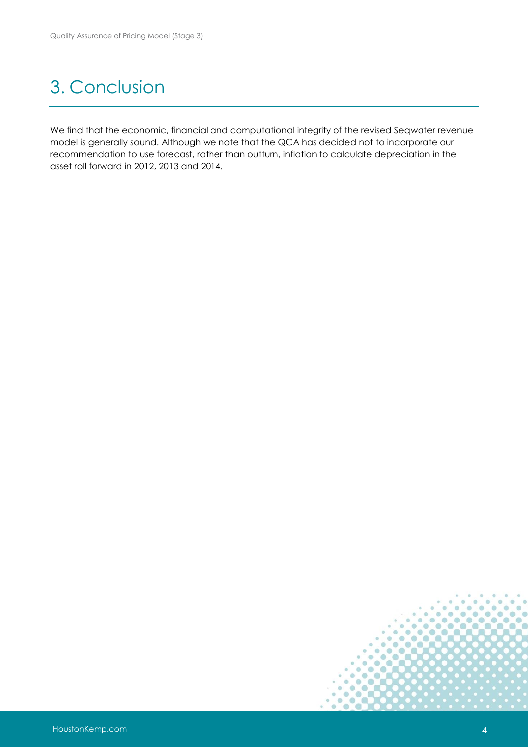# <span id="page-6-0"></span>3. Conclusion

We find that the economic, financial and computational integrity of the revised Seqwater revenue model is generally sound. Although we note that the QCA has decided not to incorporate our recommendation to use forecast, rather than outturn, inflation to calculate depreciation in the asset roll forward in 2012, 2013 and 2014.